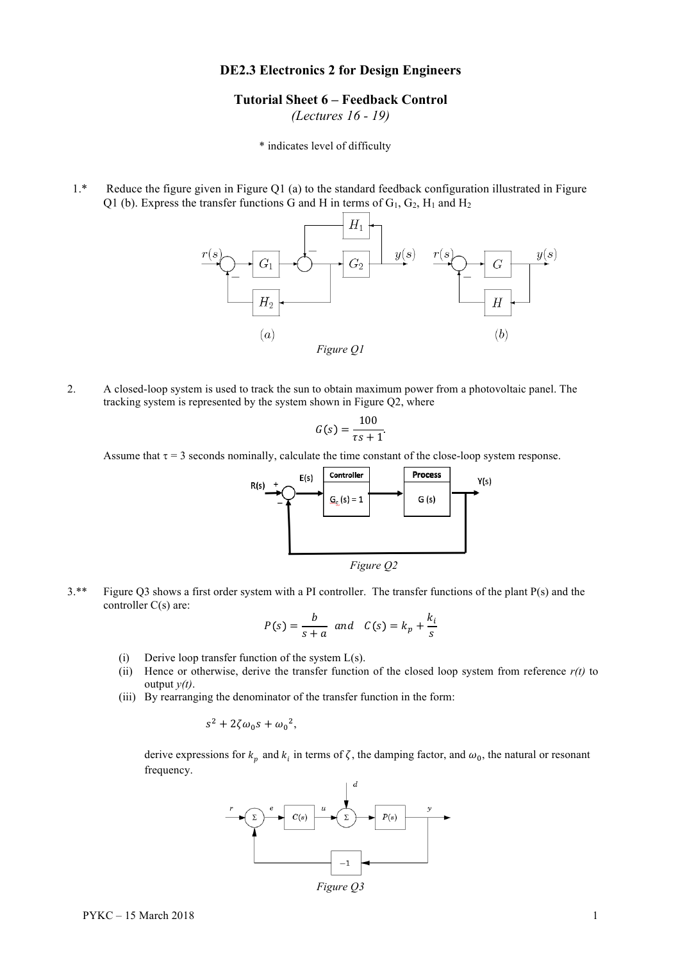## **DE2.3 Electronics 2 for Design Engineers**

## **Tutorial Sheet 6 – Feedback Control**

*(Lectures 16 - 19)*

\* indicates level of difficulty

1.\* Reduce the figure given in Figure Q1 (a) to the standard feedback configuration illustrated in Figure Q1 (b). Express the transfer functions G and H in terms of  $G_1$ ,  $G_2$ ,  $H_1$  and  $H_2$ 



2. A closed-loop system is used to track the sun to obtain maximum power from a photovoltaic panel. The tracking system is represented by the system shown in Figure Q2, where

$$
G(s) = \frac{100}{\tau s + 1}.
$$

Assume that  $\tau = 3$  seconds nominally, calculate the time constant of the close-loop system response.



3.\*\* Figure Q3 shows a first order system with a PI controller. The transfer functions of the plant P(s) and the controller C(s) are:

$$
P(s) = \frac{b}{s+a} \text{ and } C(s) = k_p + \frac{k_i}{s}
$$

- (i) Derive loop transfer function of the system  $L(s)$ .
- (ii) Hence or otherwise, derive the transfer function of the closed loop system from reference *r(t)* to output *y(t)*.
- (iii) By rearranging the denominator of the transfer function in the form:

$$
s^2 + 2\zeta\omega_0 s + {\omega_0}^2,
$$

derive expressions for  $k_n$  and  $k_i$  in terms of  $\zeta$ , the damping factor, and  $\omega_0$ , the natural or resonant frequency.



*Figure Q3*